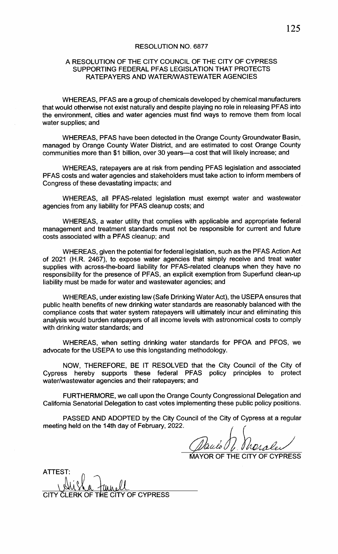## RESOLUTION NO. 6877

## A RESOLUTION OF THE CITY COUNCIL OF THE CITY OF CYPRESS SUPPORTING FEDERAL PFAS LEGISLATION THAT PROTECTS RATEPAYERS AND WATERNVASTEWATER AGENCIES

WHEREAS, PFAS are a group of chemicals developed by chemical manufacturers that would otherwise not exist naturally and despite playing no role in releasing PFAS into the environment, cities and water agencies must find ways to remove them from local water supplies; and

WHEREAS, PFAS have been detected in the Orange County Groundwater Basin, managed by Orange County Water District, and are estimated to cost Orange County communities more than \$1 billion, over 30 years—a cost that will likely increase; and

WHEREAS, ratepayers are at risk from pending PFAS legislation and associated PFAS costs and water agencies and stakeholders must take action to inform members of Congress of these devastating impacts; and

WHEREAS, all PFAS-related legislation must exempt water and wastewater agencies from any liability for PFAS cleanup costs; and

WHEREAS, a water utility that complies with applicable and appropriate federal management and treatment standards must not be responsible for current and future costs associated with a PFAS cleanup; and

WHEREAS, given the potential for federal legislation, such as the PFAS Action Act of 2021 (H.R. 2467), to expose water agencies that simply receive and treat water supplies with across-the-board liability for PFAS-related cleanups when they have no responsibility for the presence of PFAS, an explicit exemption from Superfund clean- up liability must be made for water and wastewater agencies; and

WHEREAS, under existing law( Safe Drinking Water Act), the USEPA ensures that public health benefits of new drinking water standards are reasonably balanced with the compliance costs that water system ratepayers will ultimately incur and eliminating this analysis would burden ratepayers of all income levels with astronomical costs to comply with drinking water standards; and **ESCUTION NO. 6577**<br>
RESOLUTION OF THE CITY COUNCIL OF THE CITY OF CYPRESS<br>
surFootTING FEERICA PYSSUESUSATION TWAT HOTIESTS<br>
SURFORMS AND WANTERWASHINGTON TWAT HONDERS<br>
WHEREAS PTAS was about what the way the wave the mo

WHEREAS, when setting drinking water standards for PFOA and PFOS, we advocate for the USEPA to use this longstanding methodology.

NOW, THEREFORE, BE IT RESOLVED that the City Council of the City of Cypress hereby supports these federal PFAS policy principles to protect water/wastewater agencies and their ratepayers; and

FURTHERMORE, we call upon the Orange County Congressional Delegation and California Senatorial Delegation to cast votes implementing these public policy positions.

PASSED AND ADOPTED by the City Council of the City of Cypress at a regular meeting held on the 14th day of February, 2022.

auto J. Merales

AYOR OF THE CITY OF CYPRESS

| ATTEST:                                              |  |
|------------------------------------------------------|--|
|                                                      |  |
| $\mathcal{H}$ li la a $\ell\ell$<br>$\vee$ <i>li</i> |  |
| CLERK OF THE CITY OF CYPRESS<br><b>CITY</b>          |  |